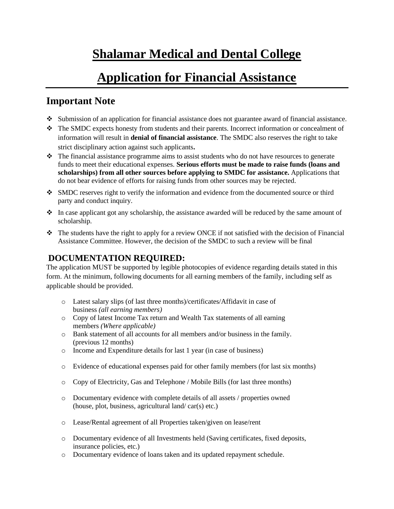# **Shalamar Medical and Dental College**

# **Application for Financial Assistance**

## **Important Note**

- ❖ Submission of an application for financial assistance does not guarantee award of financial assistance.
- ❖ The SMDC expects honesty from students and their parents. Incorrect information or concealment of information will result in **denial of financial assistance**. The SMDC also reserves the right to take strict disciplinary action against such applicants**.**
- ❖ The financial assistance programme aims to assist students who do not have resources to generate funds to meet their educational expenses. **Serious efforts must be made to raise funds (loans and scholarships) from all other sources before applying to SMDC for assistance.** Applications that do not bear evidence of efforts for raising funds from other sources may be rejected.
- ❖ SMDC reserves right to verify the information and evidence from the documented source or third party and conduct inquiry.
- ❖ In case applicant got any scholarship, the assistance awarded will be reduced by the same amount of scholarship.
- ❖ The students have the right to apply for a review ONCE if not satisfied with the decision of Financial Assistance Committee. However, the decision of the SMDC to such a review will be final

## **DOCUMENTATION REQUIRED:**

The application MUST be supported by legible photocopies of evidence regarding details stated in this form. At the minimum, following documents for all earning members of the family, including self as applicable should be provided.

- o Latest salary slips (of last three months)/certificates/Affidavit in case of business *(all earning members)*
- o Copy of latest Income Tax return and Wealth Tax statements of all earning members *(Where applicable)*
- o Bank statement of all accounts for all members and/or business in the family. (previous 12 months)
- o Income and Expenditure details for last 1 year (in case of business)
- o Evidence of educational expenses paid for other family members (for last six months)
- o Copy of Electricity, Gas and Telephone / Mobile Bills (for last three months)
- o Documentary evidence with complete details of all assets / properties owned (house, plot, business, agricultural land/ car(s) etc.)
- o Lease/Rental agreement of all Properties taken/given on lease/rent
- o Documentary evidence of all Investments held (Saving certificates, fixed deposits, insurance policies, etc.)
- o Documentary evidence of loans taken and its updated repayment schedule.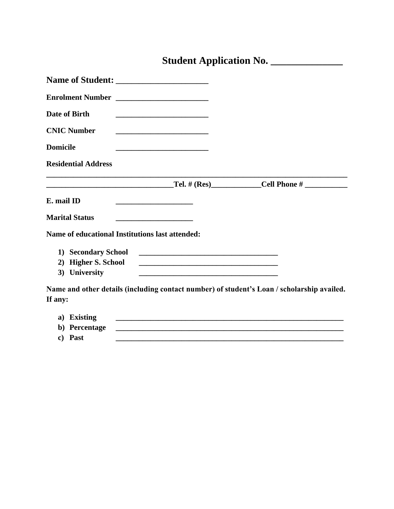# **Student Application No. \_\_\_\_\_\_\_\_\_\_\_\_\_\_**

| Name of Student:                                                                                                                            |                                                             |
|---------------------------------------------------------------------------------------------------------------------------------------------|-------------------------------------------------------------|
|                                                                                                                                             |                                                             |
| Date of Birth                                                                                                                               |                                                             |
| <b>CNIC Number</b>                                                                                                                          |                                                             |
| <b>Domicile</b>                                                                                                                             |                                                             |
| <b>Residential Address</b>                                                                                                                  |                                                             |
|                                                                                                                                             |                                                             |
| E. mail ID<br>the control of the control of the control of the control of the control of                                                    |                                                             |
| <b>Marital Status</b>                                                                                                                       |                                                             |
| <b>Name of educational Institutions last attended:</b>                                                                                      |                                                             |
| 1) Secondary School                                                                                                                         |                                                             |
| 2) Higher S. School<br><u> 1989 - Johann Barbara, marka a shekara tsa 1989 - An tsa 1989 - An tsa 1989 - An tsa 1989 - An tsa 1989 - An</u> |                                                             |
| 3) University<br>and the control of the control of the control of the control of the control of the control of the                          |                                                             |
| Name and other details (including contact number) of student's Loan / scholarship availed.                                                  |                                                             |
| If any:                                                                                                                                     |                                                             |
| a) Existing                                                                                                                                 | <u> 1989 - Johann Stoff, amerikansk politiker (d. 1989)</u> |
| b) Percentage                                                                                                                               |                                                             |

**c) Past \_\_\_\_\_\_\_\_\_\_\_\_\_\_\_\_\_\_\_\_\_\_\_\_\_\_\_\_\_\_\_\_\_\_\_\_\_\_\_\_\_\_\_\_\_\_\_\_\_\_\_\_\_\_\_\_\_\_\_**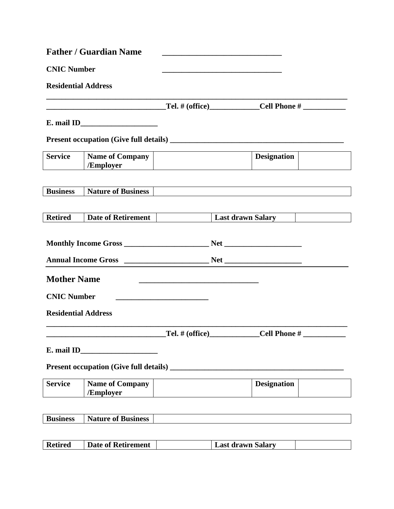|                            | <b>Father / Guardian Name</b>       |                                                            |                                             |  |
|----------------------------|-------------------------------------|------------------------------------------------------------|---------------------------------------------|--|
| <b>CNIC Number</b>         |                                     |                                                            |                                             |  |
| <b>Residential Address</b> |                                     |                                                            |                                             |  |
|                            |                                     |                                                            |                                             |  |
|                            |                                     |                                                            |                                             |  |
|                            |                                     |                                                            |                                             |  |
| <b>Service</b>             | <b>Name of Company</b><br>/Employer |                                                            | <b>Designation</b>                          |  |
|                            |                                     |                                                            |                                             |  |
| <b>Business</b>            | <b>Nature of Business</b>           |                                                            |                                             |  |
| <b>Retired</b>             | Date of Retirement                  |                                                            | <b>Last drawn Salary</b>                    |  |
|                            |                                     |                                                            |                                             |  |
|                            |                                     |                                                            |                                             |  |
|                            |                                     |                                                            |                                             |  |
| <b>Mother Name</b>         |                                     |                                                            |                                             |  |
| <b>CNIC Number</b>         |                                     | <u> 1980 - Johann Barbara, martxa alemaniar amerikan a</u> |                                             |  |
| <b>Residential Address</b> |                                     |                                                            |                                             |  |
|                            |                                     |                                                            | _Tel. # (office)_______________Cell Phone # |  |
|                            |                                     |                                                            |                                             |  |
|                            |                                     |                                                            |                                             |  |
| <b>Service</b>             | <b>Name of Company</b><br>/Employer |                                                            | <b>Designation</b>                          |  |
|                            |                                     |                                                            |                                             |  |
| <b>Business</b>            | <b>Nature of Business</b>           |                                                            |                                             |  |

| <b>Retired</b><br><b>Last drawn Salary</b><br>Date of Retirement |
|------------------------------------------------------------------|
|------------------------------------------------------------------|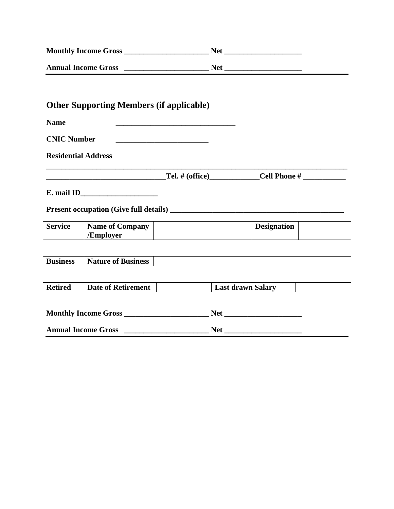| <b>Monthly Income Gross</b>                                                                                                                        | Net <u>and the second second second</u> |  |
|----------------------------------------------------------------------------------------------------------------------------------------------------|-----------------------------------------|--|
| <b>Annual Income Gross</b><br><u> 1980 - Jan Samuel Barbara, prima populație de la programa de la programa de la programa de la programa de la</u> | <b>Net</b>                              |  |
|                                                                                                                                                    |                                         |  |
|                                                                                                                                                    |                                         |  |
| <b>Other Supporting Members (if applicable)</b>                                                                                                    |                                         |  |

| <b>Name</b>        |                                     |                    |  |
|--------------------|-------------------------------------|--------------------|--|
| <b>CNIC Number</b> |                                     |                    |  |
|                    | <b>Residential Address</b>          |                    |  |
|                    |                                     |                    |  |
|                    |                                     |                    |  |
|                    |                                     |                    |  |
|                    |                                     |                    |  |
| <b>Service</b>     | <b>Name of Company</b><br>/Employer | <b>Designation</b> |  |
|                    |                                     |                    |  |
| <b>Business</b>    | <b>Nature of Business</b>           |                    |  |
|                    |                                     |                    |  |

 $\overline{\phantom{0}}$ 

┓

| <b>Monthly Income Gross</b> | Net |  |
|-----------------------------|-----|--|
| <b>Annual Income Gross</b>  | Net |  |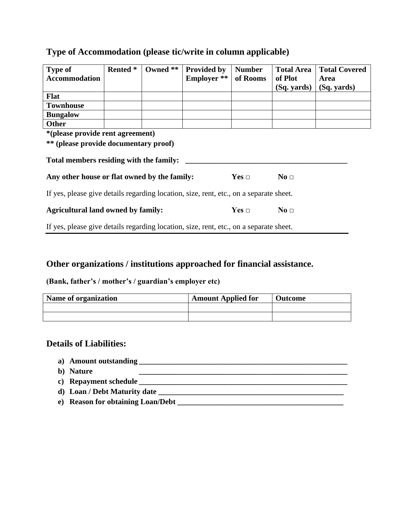| <b>Type of</b>                                                                         | <b>Rented</b> * | Owned ** | Provided by        | <b>Number</b> | <b>Total Area</b> | <b>Total Covered</b> |
|----------------------------------------------------------------------------------------|-----------------|----------|--------------------|---------------|-------------------|----------------------|
| <b>Accommodation</b>                                                                   |                 |          | <b>Employer</b> ** | of Rooms      | of Plot           | Area                 |
|                                                                                        |                 |          |                    |               | (Sq. yards)       | (Sq. yards)          |
| <b>Flat</b>                                                                            |                 |          |                    |               |                   |                      |
| <b>Townhouse</b>                                                                       |                 |          |                    |               |                   |                      |
| <b>Bungalow</b>                                                                        |                 |          |                    |               |                   |                      |
| <b>Other</b>                                                                           |                 |          |                    |               |                   |                      |
| *(please provide rent agreement)                                                       |                 |          |                    |               |                   |                      |
| ** (please provide documentary proof)                                                  |                 |          |                    |               |                   |                      |
| Total members residing with the family:                                                |                 |          |                    |               |                   |                      |
| Any other house or flat owned by the family:                                           |                 |          |                    | $Yes \Box$    | No <sub>1</sub>   |                      |
| If yes, please give details regarding location, size, rent, etc., on a separate sheet. |                 |          |                    |               |                   |                      |
| <b>Agricultural land owned by family:</b>                                              |                 |          |                    | $Yes \Box$    | No <sub>1</sub>   |                      |
| If yes, please give details regarding location, size, rent, etc., on a separate sheet. |                 |          |                    |               |                   |                      |

### **Type of Accommodation (please tic/write in column applicable)**

### **Other organizations / institutions approached for financial assistance.**

#### **(Bank, father's / mother's / guardian's employer etc)**

| Name of organization | <b>Amount Applied for</b> | <b>Outcome</b> |
|----------------------|---------------------------|----------------|
|                      |                           |                |
|                      |                           |                |

#### **Details of Liabilities:**

- **a**) **Amount outstanding**
- **b**) **Nature**
- **c) Repayment schedule \_\_\_\_\_\_\_\_\_\_\_\_\_\_\_\_\_\_\_\_\_\_\_\_\_\_\_\_\_\_\_\_\_\_\_\_\_\_\_\_\_\_\_\_\_\_\_\_\_\_\_\_\_\_**
- **d) Loan / Debt Maturity date \_\_\_\_\_\_\_\_\_\_\_\_\_\_\_\_\_\_\_\_\_\_\_\_\_\_\_\_\_\_\_\_\_\_\_\_\_\_\_\_\_\_\_\_\_\_\_\_**
- **e) Reason for obtaining Loan/Debt \_\_\_\_\_\_\_\_\_\_\_\_\_\_\_\_\_\_\_\_\_\_\_\_\_\_\_\_\_\_\_\_\_\_\_\_\_\_\_\_\_\_\_**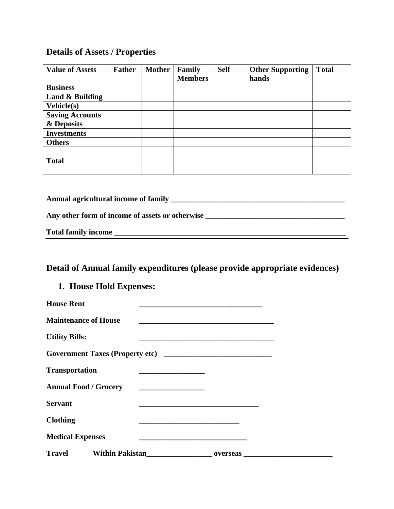## **Details of Assets / Properties**

| <b>Value of Assets</b> | <b>Father</b> | <b>Mother</b> | Family         | <b>Self</b> | <b>Other Supporting</b> | <b>Total</b> |
|------------------------|---------------|---------------|----------------|-------------|-------------------------|--------------|
|                        |               |               | <b>Members</b> |             | hands                   |              |
| <b>Business</b>        |               |               |                |             |                         |              |
| Land & Building        |               |               |                |             |                         |              |
| <b>Vehicle(s)</b>      |               |               |                |             |                         |              |
| <b>Saving Accounts</b> |               |               |                |             |                         |              |
| & Deposits             |               |               |                |             |                         |              |
| <b>Investments</b>     |               |               |                |             |                         |              |
| <b>Others</b>          |               |               |                |             |                         |              |
|                        |               |               |                |             |                         |              |
| <b>Total</b>           |               |               |                |             |                         |              |
|                        |               |               |                |             |                         |              |

**Annual agricultural income of family \_\_\_\_\_\_\_\_\_\_\_\_\_\_\_\_\_\_\_\_\_\_\_\_\_\_\_\_\_\_\_\_\_\_\_\_\_\_\_\_\_\_\_\_\_**

| Any other form of income of assets or otherwise |  |
|-------------------------------------------------|--|
|-------------------------------------------------|--|

**Total family income \_\_\_\_\_\_\_\_\_\_\_\_\_\_\_\_\_\_\_\_\_\_\_\_\_\_\_\_\_\_\_\_\_\_\_\_\_\_\_\_\_\_\_\_\_\_\_\_\_\_\_\_\_\_\_\_\_\_\_\_**

| <b>Total family income</b> |  |  |  |  |
|----------------------------|--|--|--|--|
|----------------------------|--|--|--|--|

## **Detail of Annual family expenditures (please provide appropriate evidences)**

### **1. House Hold Expenses:**

| <b>House Rent</b>                                                                                                    | the control of the control of the control of the control of the control of the control of                               |
|----------------------------------------------------------------------------------------------------------------------|-------------------------------------------------------------------------------------------------------------------------|
| <b>Maintenance of House</b>                                                                                          | the control of the control of the control of the control of the control of the control of the control of the control of |
| <b>Utility Bills:</b>                                                                                                |                                                                                                                         |
|                                                                                                                      |                                                                                                                         |
| <b>Transportation</b><br><u> 1990 - Johann Barbara, martin amerikan ba</u>                                           |                                                                                                                         |
| <b>Annual Food / Grocery</b><br><u> 1990 - Johann Barbara, martin a</u>                                              |                                                                                                                         |
| <b>Servant</b>                                                                                                       |                                                                                                                         |
| <b>Clothing</b>                                                                                                      |                                                                                                                         |
| <b>Medical Expenses</b><br>the control of the control of the control of the control of the control of the control of |                                                                                                                         |
| Travel                                                                                                               | <b>overseas</b>                                                                                                         |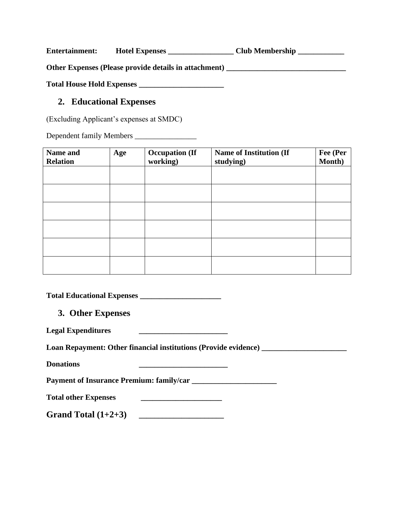Entertainment: Hotel Expenses \_\_\_\_\_\_\_\_\_\_\_\_\_\_\_\_\_\_\_ Club Membership \_\_\_\_\_\_\_\_\_\_\_\_\_\_

**Other Expenses (Please provide details in attachment) \_\_\_\_\_\_\_\_\_\_\_\_\_\_\_\_\_\_\_\_\_\_\_\_\_\_\_\_\_\_\_**

**Total House Hold Expenses \_\_\_\_\_\_\_\_\_\_\_\_\_\_\_\_\_\_\_\_\_\_**

#### **2. Educational Expenses**

(Excluding Applicant's expenses at SMDC)

Dependent family Members \_\_\_\_\_\_\_\_\_\_\_\_\_\_\_\_

| Name and<br><b>Relation</b> | Age | <b>Occupation (If</b><br>working) | <b>Name of Institution (If</b><br>studying) | Fee (Per<br>Month) |
|-----------------------------|-----|-----------------------------------|---------------------------------------------|--------------------|
|                             |     |                                   |                                             |                    |
|                             |     |                                   |                                             |                    |
|                             |     |                                   |                                             |                    |
|                             |     |                                   |                                             |                    |
|                             |     |                                   |                                             |                    |
|                             |     |                                   |                                             |                    |

**Total Educational Expenses \_\_\_\_\_\_\_\_\_\_\_\_\_\_\_\_\_\_\_\_\_**

**3. Other Expenses** 

| <b>Legal Expenditures</b> |  |
|---------------------------|--|
|                           |  |

Loan Repayment: Other financial institutions (Provide evidence) \_\_\_\_\_\_\_\_\_\_\_\_\_\_\_\_\_

**Donations \_\_\_\_\_\_\_\_\_\_\_\_\_\_\_\_\_\_\_\_\_\_\_**

**Payment of Insurance Premium: family/car \_\_\_\_\_\_\_\_\_\_\_\_\_\_\_\_\_\_\_\_\_\_**

**Total other Expenses \_\_\_\_\_\_\_\_\_\_\_\_\_\_\_\_\_\_\_\_\_**

Grand Total (1+2+3)